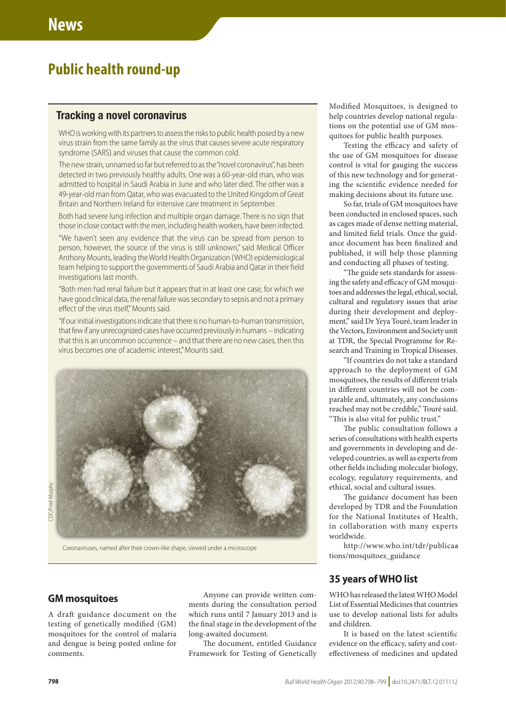# **Public health round-up**

## Tracking a novel coronavirus

WHO is working with its partners to assess the risks to public health posed by a new virus strain from the same family as the virus that causes severe acute respiratory syndrome (SARS) and viruses that cause the common cold.

The new strain, unnamed so far but referred to as the "novel coronavirus", has been detected in two previously healthy adults. One was a 60-year-old man, who was admitted to hospital in Saudi Arabia in June and who later died. The other was a 49-year-old man from Qatar, who was evacuated to the United Kingdom of Great Britain and Northern Ireland for intensive care treatment in September.

Both had severe lung infection and multiple organ damage. There is no sign that those in close contact with the men, including health workers, have been infected.

"We haven't seen any evidence that the virus can be spread from person to person, however, the source of the virus is still unknown," said Medical Officer Anthony Mounts, leading the World Health Organization (WHO) epidemiological team helping to support the governments of Saudi Arabia and Qatar in their field investigations last month.

"Both men had renal failure but it appears that in at least one case, for which we have good clinical data, the renal failure was secondary to sepsis and not a primary effect of the virus itself," Mounts said.

"If our initial investigations indicate that there is no human-to-human transmission, that few if any unrecognized cases have occurred previously in humans – indicating that this is an uncommon occurrence – and that there are no new cases, then this virus becomes one of academic interest," Mounts said.



Coronaviruses, named after their crown-like shape, viewed under a microscope

## **GM mosquitoes**

A draft guidance document on the testing of genetically modified (GM) mosquitoes for the control of malaria and dengue is being posted online for comments.

Anyone can provide written comments during the consultation period which runs until 7 January 2013 and is the final stage in the development of the long-awaited document.

The document, entitled Guidance Framework for Testing of Genetically Modified Mosquitoes, is designed to help countries develop national regulations on the potential use of GM mosquitoes for public health purposes.

Testing the efficacy and safety of the use of GM mosquitoes for disease control is vital for gauging the success of this new technology and for generating the scientific evidence needed for making decisions about its future use.

So far, trials of GM mosquitoes have been conducted in enclosed spaces, such as cages made of dense netting material, and limited field trials. Once the guidance document has been finalized and published, it will help those planning and conducting all phases of testing.

"The guide sets standards for assessing the safety and efficacy of GM mosquitoes and addresses the legal, ethical, social, cultural and regulatory issues that arise during their development and deployment," said Dr Yeya Touré, team leader in the Vectors, Environment and Society unit at TDR, the Special Programme for Research and Training in Tropical Diseases.

"If countries do not take a standard approach to the deployment of GM mosquitoes, the results of different trials in different countries will not be comparable and, ultimately, any conclusions reached may not be credible," Touré said. "This is also vital for public trust."

The public consultation follows a series of consultations with health experts and governments in developing and developed countries, as well as experts from other fields including molecular biology, ecology, regulatory requirements, and ethical, social and cultural issues.

The guidance document has been developed by TDR and the Foundation for the National Institutes of Health, in collaboration with many experts worldwide.

http://www.who.int/tdr/publicaa [tions/mosquitoes\\_guidance](http://www.who.int/tdr/publications/mosquitoes_guidance)

### **35 years of WHO list**

WHO has released the latest WHO Model List of Essential Medicines that countries use to develop national lists for adults and children.

It is based on the latest scientific evidence on the efficacy, safety and costeffectiveness of medicines and updated